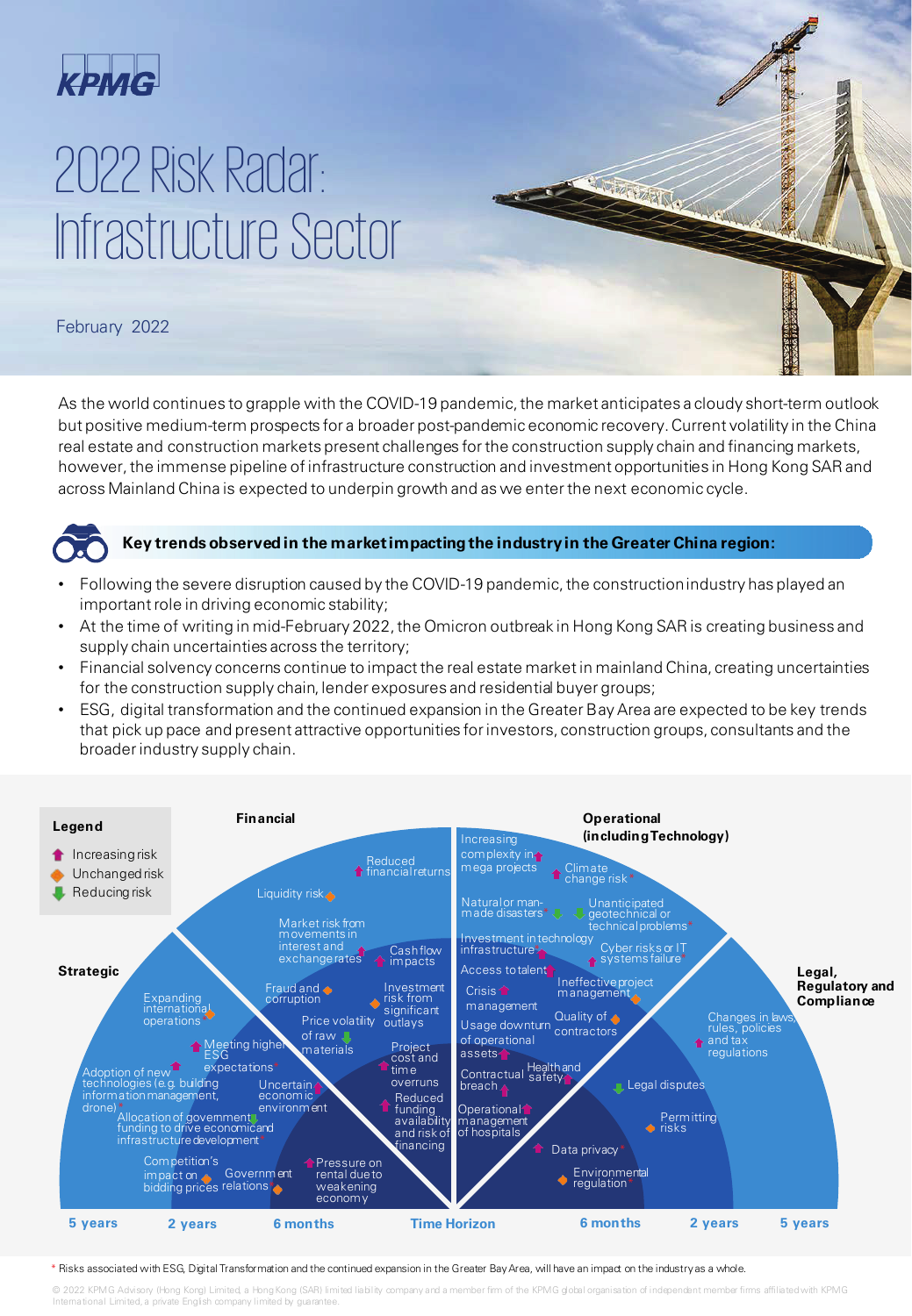

# 2022 Risk Radar: Infrastructure Sector

## February 2022

As the world continues to grapple with the COVID-19 pandemic, the market anticipates a cloudy short-term outlook but positive medium-term prospects for a broader post-pandemic economic recovery. Current volatility in the China real estate and construction markets present challenges for the construction supply chain and financing markets, however, the immense pipeline of infrastructure construction and investment opportunities in Hong Kong SAR and across Mainland China is expected to underpin growth and as we enter the next economic cycle.



#### **Key trends observed in the market impacting the industry in the Greater China region:**

- Following the severe disruption caused by the COVID-19 pandemic, the construction industry has played an important role in driving economic stability;
- At the time of writing in mid-February 2022, the Omicron outbreak in Hong Kong SAR is creating business and supply chain uncertainties across the territory;
- Financial solvency concerns continue to impact the real estate market in mainland China, creating uncertainties for the construction supply chain, lender exposures and residential buyer groups;
- ESG, digital transformation and the continued expansion in the Greater Bay Area are expected to be key trends that pick up pace and present attractive opportunities for investors, construction groups, consultants and the broader industry supply chain.



\* Risks associated with ESG, Digital Transformation and the continued expansion in the Greater Bay Area, will have an impact on the industry as a whole.

© 2022 KPMG Advisory (Hong Kong) Limited, a Hong Kong (SAR) limited liability company and a member firm of the KPMG global organisation of independent member firms affiliated with KPMG International Limited, a private English company limited by gua